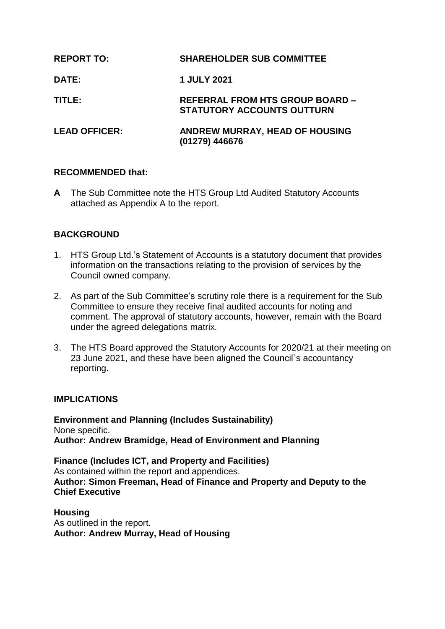| <b>REPORT TO:</b>    | <b>SHAREHOLDER SUB COMMITTEE</b>                                            |
|----------------------|-----------------------------------------------------------------------------|
| <b>DATE:</b>         | <b>1 JULY 2021</b>                                                          |
| TITLE:               | <b>REFERRAL FROM HTS GROUP BOARD -</b><br><b>STATUTORY ACCOUNTS OUTTURN</b> |
| <b>LEAD OFFICER:</b> | ANDREW MURRAY, HEAD OF HOUSING<br>(01279) 446676                            |

#### **RECOMMENDED that:**

**A** The Sub Committee note the HTS Group Ltd Audited Statutory Accounts attached as Appendix A to the report.

## **BACKGROUND**

- 1. HTS Group Ltd.'s Statement of Accounts is a statutory document that provides information on the transactions relating to the provision of services by the Council owned company.
- 2. As part of the Sub Committee's scrutiny role there is a requirement for the Sub Committee to ensure they receive final audited accounts for noting and comment. The approval of statutory accounts, however, remain with the Board under the agreed delegations matrix.
- 3. The HTS Board approved the Statutory Accounts for 2020/21 at their meeting on 23 June 2021, and these have been aligned the Council`s accountancy reporting.

#### **IMPLICATIONS**

**Environment and Planning (Includes Sustainability)** None specific. **Author: Andrew Bramidge, Head of Environment and Planning**

**Finance (Includes ICT, and Property and Facilities)** As contained within the report and appendices. **Author: Simon Freeman, Head of Finance and Property and Deputy to the Chief Executive**

**Housing** As outlined in the report. **Author: Andrew Murray, Head of Housing**